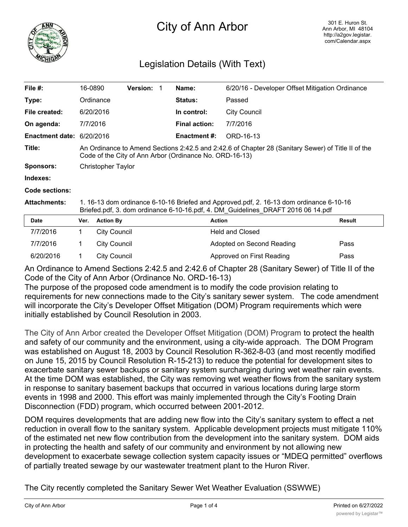

## City of Ann Arbor

## Legislation Details (With Text)

| File $#$ :                                    | 16-0890                                                                                                                                                                     | <b>Version: 1</b> |  | Name:                | 6/20/16 - Developer Offset Mitigation Ordinance |  |  |
|-----------------------------------------------|-----------------------------------------------------------------------------------------------------------------------------------------------------------------------------|-------------------|--|----------------------|-------------------------------------------------|--|--|
| Type:                                         | Ordinance                                                                                                                                                                   |                   |  | <b>Status:</b>       | Passed                                          |  |  |
| File created:                                 | 6/20/2016                                                                                                                                                                   |                   |  | In control:          | <b>City Council</b>                             |  |  |
| On agenda:                                    | 7/7/2016                                                                                                                                                                    |                   |  | <b>Final action:</b> | 7/7/2016                                        |  |  |
| <b>Enactment date: <math>6/20/2016</math></b> |                                                                                                                                                                             |                   |  | <b>Enactment #:</b>  | ORD-16-13                                       |  |  |
| Title:                                        | An Ordinance to Amend Sections 2:42.5 and 2:42.6 of Chapter 28 (Sanitary Sewer) of Title II of the<br>Code of the City of Ann Arbor (Ordinance No. ORD-16-13)               |                   |  |                      |                                                 |  |  |
| <b>Sponsors:</b>                              | Christopher Taylor                                                                                                                                                          |                   |  |                      |                                                 |  |  |
| Indexes:                                      |                                                                                                                                                                             |                   |  |                      |                                                 |  |  |
| Code sections:                                |                                                                                                                                                                             |                   |  |                      |                                                 |  |  |
| <b>Attachments:</b>                           | 1. 16-13 dom ordinance 6-10-16 Briefed and Approved.pdf, 2. 16-13 dom ordinance 6-10-16<br>Briefed.pdf, 3. dom ordinance 6-10-16.pdf, 4. DM Guidelines DRAFT 2016 06 14.pdf |                   |  |                      |                                                 |  |  |
| <b>Date</b>                                   | Var<br>Action By                                                                                                                                                            |                   |  | Action               | <b>Docult</b>                                   |  |  |

| <b>Date</b> | Ver. | <b>Action By</b> | Action                    | <b>Result</b> |
|-------------|------|------------------|---------------------------|---------------|
| 7/7/2016    |      | City Council     | <b>Held and Closed</b>    |               |
| 7/7/2016    |      | City Council     | Adopted on Second Reading | Pass          |
| 6/20/2016   |      | City Council     | Approved on First Reading | Pass          |

An Ordinance to Amend Sections 2:42.5 and 2:42.6 of Chapter 28 (Sanitary Sewer) of Title II of the Code of the City of Ann Arbor (Ordinance No. ORD-16-13)

The purpose of the proposed code amendment is to modify the code provision relating to requirements for new connections made to the City's sanitary sewer system. The code amendment will incorporate the City's Developer Offset Mitigation (DOM) Program requirements which were initially established by Council Resolution in 2003.

The City of Ann Arbor created the Developer Offset Mitigation (DOM) Program to protect the health and safety of our community and the environment, using a city-wide approach. The DOM Program was established on August 18, 2003 by Council Resolution R-362-8-03 (and most recently modified on June 15, 2015 by Council Resolution R-15-213) to reduce the potential for development sites to exacerbate sanitary sewer backups or sanitary system surcharging during wet weather rain events. At the time DOM was established, the City was removing wet weather flows from the sanitary system in response to sanitary basement backups that occurred in various locations during large storm events in 1998 and 2000. This effort was mainly implemented through the City's Footing Drain Disconnection (FDD) program, which occurred between 2001-2012.

DOM requires developments that are adding new flow into the City's sanitary system to effect a net reduction in overall flow to the sanitary system. Applicable development projects must mitigate 110% of the estimated net new flow contribution from the development into the sanitary system. DOM aids in protecting the health and safety of our community and environment by not allowing new development to exacerbate sewage collection system capacity issues or "MDEQ permitted" overflows of partially treated sewage by our wastewater treatment plant to the Huron River.

The City recently completed the Sanitary Sewer Wet Weather Evaluation (SSWWE)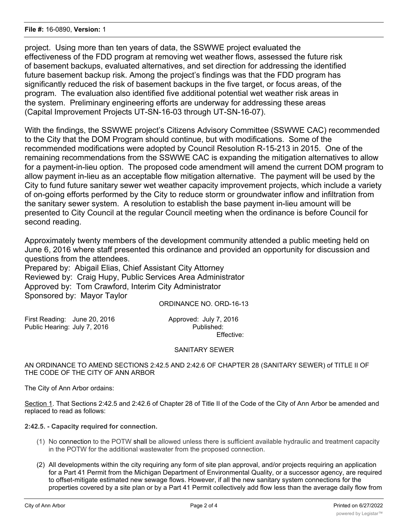project. Using more than ten years of data, the SSWWE project evaluated the effectiveness of the FDD program at removing wet weather flows, assessed the future risk of basement backups, evaluated alternatives, and set direction for addressing the identified future basement backup risk. Among the project's findings was that the FDD program has significantly reduced the risk of basement backups in the five target, or focus areas, of the program. The evaluation also identified five additional potential wet weather risk areas in the system. Preliminary engineering efforts are underway for addressing these areas (Capital Improvement Projects UT-SN-16-03 through UT-SN-16-07).

With the findings, the SSWWE project's Citizens Advisory Committee (SSWWE CAC) recommended to the City that the DOM Program should continue, but with modifications. Some of the recommended modifications were adopted by Council Resolution R-15-213 in 2015. One of the remaining recommendations from the SSWWE CAC is expanding the mitigation alternatives to allow for a payment-in-lieu option. The proposed code amendment will amend the current DOM program to allow payment in-lieu as an acceptable flow mitigation alternative. The payment will be used by the City to fund future sanitary sewer wet weather capacity improvement projects, which include a variety of on-going efforts performed by the City to reduce storm or groundwater inflow and infiltration from the sanitary sewer system. A resolution to establish the base payment in-lieu amount will be presented to City Council at the regular Council meeting when the ordinance is before Council for second reading.

Approximately twenty members of the development community attended a public meeting held on June 6, 2016 where staff presented this ordinance and provided an opportunity for discussion and questions from the attendees.

Prepared by: Abigail Elias, Chief Assistant City Attorney Reviewed by: Craig Hupy, Public Services Area Administrator Approved by: Tom Crawford, Interim City Administrator Sponsored by: Mayor Taylor

ORDINANCE NO. ORD-16-13

First Reading: June 20, 2016 Approved: July 7, 2016 Public Hearing: July 7, 2016

Effective:

## SANITARY SEWER

AN ORDINANCE TO AMEND SECTIONS 2:42.5 AND 2:42.6 OF CHAPTER 28 (SANITARY SEWER) of TITLE II OF THE CODE OF THE CITY OF ANN ARBOR

The City of Ann Arbor ordains:

Section 1. That Sections 2:42.5 and 2:42.6 of Chapter 28 of Title II of the Code of the City of Ann Arbor be amended and replaced to read as follows:

**2:42.5. - Capacity required for connection.**

- (1) No connection to the POTW shall be allowed unless there is sufficient available hydraulic and treatment capacity in the POTW for the additional wastewater from the proposed connection.
- (2) All developments within the city requiring any form of site plan approval, and/or projects requiring an application for a Part 41 Permit from the Michigan Department of Environmental Quality, or a successor agency, are required to offset-mitigate estimated new sewage flows. However, if all the new sanitary system connections for the properties covered by a site plan or by a Part 41 Permit collectively add flow less than the average daily flow from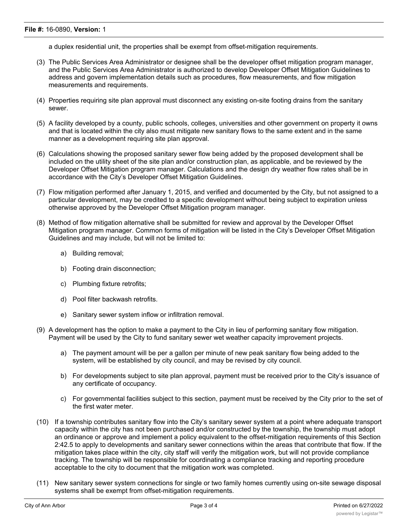a duplex residential unit, the properties shall be exempt from offset-mitigation requirements.

- (3) The Public Services Area Administrator or designee shall be the developer offset mitigation program manager, and the Public Services Area Administrator is authorized to develop Developer Offset Mitigation Guidelines to address and govern implementation details such as procedures, flow measurements, and flow mitigation measurements and requirements.
- (4) Properties requiring site plan approval must disconnect any existing on-site footing drains from the sanitary sewer.
- (5) A facility developed by a county, public schools, colleges, universities and other government on property it owns and that is located within the city also must mitigate new sanitary flows to the same extent and in the same manner as a development requiring site plan approval.
- (6) Calculations showing the proposed sanitary sewer flow being added by the proposed development shall be included on the utility sheet of the site plan and/or construction plan, as applicable, and be reviewed by the Developer Offset Mitigation program manager. Calculations and the design dry weather flow rates shall be in accordance with the City's Developer Offset Mitigation Guidelines.
- (7) Flow mitigation performed after January 1, 2015, and verified and documented by the City, but not assigned to a particular development, may be credited to a specific development without being subject to expiration unless otherwise approved by the Developer Offset Mitigation program manager.
- (8) Method of flow mitigation alternative shall be submitted for review and approval by the Developer Offset Mitigation program manager. Common forms of mitigation will be listed in the City's Developer Offset Mitigation Guidelines and may include, but will not be limited to:
	- a) Building removal;
	- b) Footing drain disconnection;
	- c) Plumbing fixture retrofits;
	- d) Pool filter backwash retrofits.
	- e) Sanitary sewer system inflow or infiltration removal.
- (9) A development has the option to make a payment to the City in lieu of performing sanitary flow mitigation. Payment will be used by the City to fund sanitary sewer wet weather capacity improvement projects.
	- a) The payment amount will be per a gallon per minute of new peak sanitary flow being added to the system, will be established by city council, and may be revised by city council.
	- b) For developments subject to site plan approval, payment must be received prior to the City's issuance of any certificate of occupancy.
	- c) For governmental facilities subject to this section, payment must be received by the City prior to the set of the first water meter.
- (10) If a township contributes sanitary flow into the City's sanitary sewer system at a point where adequate transport capacity within the city has not been purchased and/or constructed by the township, the township must adopt an ordinance or approve and implement a policy equivalent to the offset-mitigation requirements of this Section 2:42.5 to apply to developments and sanitary sewer connections within the areas that contribute that flow. If the mitigation takes place within the city, city staff will verify the mitigation work, but will not provide compliance tracking. The township will be responsible for coordinating a compliance tracking and reporting procedure acceptable to the city to document that the mitigation work was completed.
- (11) New sanitary sewer system connections for single or two family homes currently using on-site sewage disposal systems shall be exempt from offset-mitigation requirements.